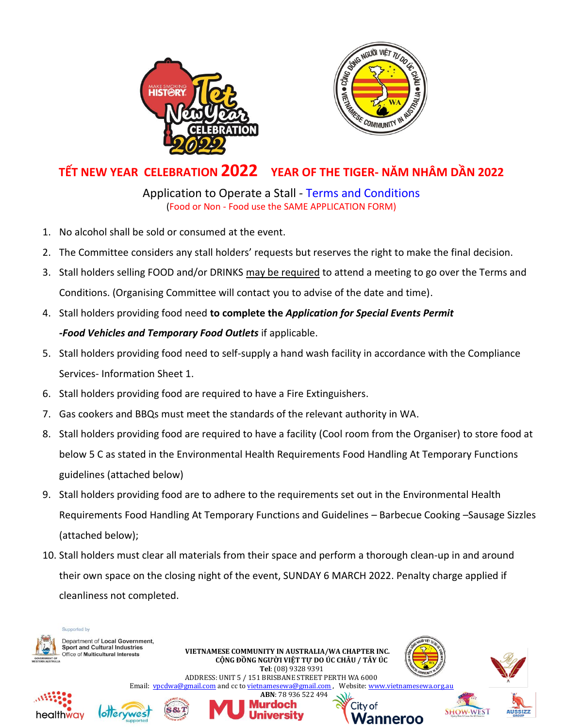



## **TẾT NEW YEAR CELEBRATION 2022 YEAR OF THE TIGER- NĂM NHÂM DẦN 2022**

## Application to Operate a Stall - Terms and Conditions (Food or Non - Food use the SAME APPLICATION FORM)

- 1. No alcohol shall be sold or consumed at the event.
- 2. The Committee considers any stall holders' requests but reserves the right to make the final decision.
- 3. Stall holders selling FOOD and/or DRINKS may be required to attend a meeting to go over the Terms and Conditions. (Organising Committee will contact you to advise of the date and time).
- 4. Stall holders providing food need **to complete the** *Application for Special Events Permit*

### *-Food Vehicles and Temporary Food Outlets* if applicable.

- 5. Stall holders providing food need to self-supply a hand wash facility in accordance with the Compliance Services- Information Sheet 1.
- 6. Stall holders providing food are required to have a Fire Extinguishers.
- 7. Gas cookers and BBQs must meet the standards of the relevant authority in WA.
- 8. Stall holders providing food are required to have a facility (Cool room from the Organiser) to store food at below 5 C as stated in the Environmental Health Requirements Food Handling At Temporary Functions guidelines (attached below)
- 9. Stall holders providing food are to adhere to the requirements set out in the Environmental Health Requirements Food Handling At Temporary Functions and Guidelines – Barbecue Cooking –Sausage Sizzles (attached below);
- 10. Stall holders must clear all materials from their space and perform a thorough clean-up in and around their own space on the closing night of the event, SUNDAY 6 MARCH 2022. Penalty charge applied if cleanliness not completed.

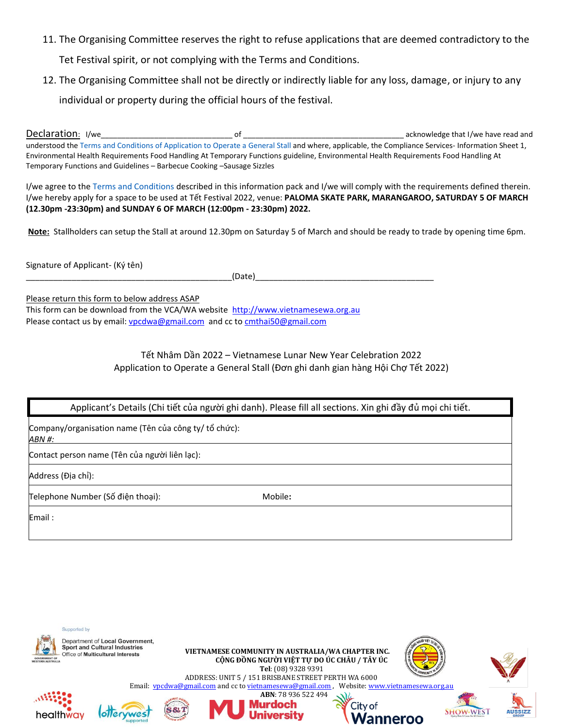11. The Organising Committee reserves the right to refuse applications that are deemed contradictory to the

Tet Festival spirit, or not complying with the Terms and Conditions.

12. The Organising Committee shall not be directly or indirectly liable for any loss, damage, or injury to any

individual or property during the official hours of the festival.

Declaration: I/we  $of$ acknowledge that I/we have read and understood the Terms and Conditions of Application to Operate a General Stall and where, applicable, the Compliance Services- Information Sheet 1, Environmental Health Requirements Food Handling At Temporary Functions guideline, Environmental Health Requirements Food Handling At Temporary Functions and Guidelines - Barbecue Cooking - Sausage Sizzles

I/we agree to the Terms and Conditions described in this information pack and I/we will comply with the requirements defined therein. I/we hereby apply for a space to be used at Tết Festival 2022, venue: PALOMA SKATE PARK, MARANGAROO, SATURDAY 5 OF MARCH (12.30pm -23:30pm) and SUNDAY 6 OF MARCH (12:00pm - 23:30pm) 2022.

Note: Stallholders can setup the Stall at around 12.30pm on Saturday 5 of March and should be ready to trade by opening time 6pm.

Signature of Applicant- (Ký tên)

(Date)

Please return this form to below address ASAP This form can be download from the VCA/WA website http://www.vietnamesewa.org.au Please contact us by email: vpcdwa@gmail.com and cc to cmthai50@gmail.com

#### Tết Nhâm Dần 2022 – Vietnamese Lunar New Year Celebration 2022 Application to Operate a General Stall (Đơn ghi danh gian hàng Hội Chợ Tết 2022)

Applicant's Details (Chi tiết của người ghi danh). Please fill all sections. Xin ghi đầy đủ mọi chi tiết.

Company/organisation name (Tên của công ty/ tổ chức): ABN #:

Contact person name (Tên của người liên lạc):

Address (Đia chỉ):

Telephone Number (Số điện thoại):

Mobile:

Email:

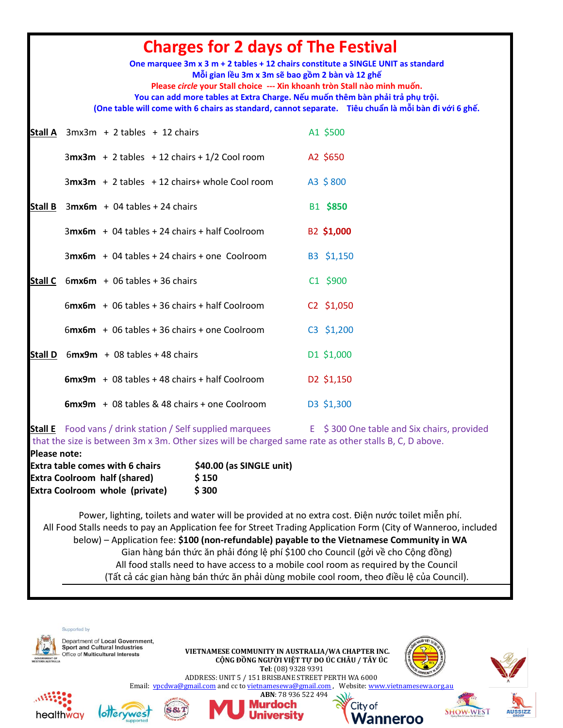| <b>Charges for 2 days of The Festival</b><br>One marquee 3m x 3 m + 2 tables + 12 chairs constitute a SINGLE UNIT as standard<br>Mỗi gian lều 3m x 3m sẽ bao gồm 2 bàn và 12 ghế<br>Please circle your Stall choice --- Xin khoanh tròn Stall nào minh muốn.<br>You can add more tables at Extra Charge. Nếu muốn thêm bàn phải trả phụ trội.<br>(One table will come with 6 chairs as standard, cannot separate. Tiêu chuẩn là mỗi bàn đi với 6 ghế. |                                                                                                                                                                             |                                              |  |  |
|-------------------------------------------------------------------------------------------------------------------------------------------------------------------------------------------------------------------------------------------------------------------------------------------------------------------------------------------------------------------------------------------------------------------------------------------------------|-----------------------------------------------------------------------------------------------------------------------------------------------------------------------------|----------------------------------------------|--|--|
|                                                                                                                                                                                                                                                                                                                                                                                                                                                       | <b>Stall A</b> $3mx3m + 2 tables + 12 chairs$                                                                                                                               | A1 \$500                                     |  |  |
|                                                                                                                                                                                                                                                                                                                                                                                                                                                       | $3mx3m + 2 tables + 12 chairs + 1/2 Cool room$                                                                                                                              | A2 \$650                                     |  |  |
|                                                                                                                                                                                                                                                                                                                                                                                                                                                       | $3mx3m + 2$ tables $+12$ chairs+ whole Cool room                                                                                                                            | A3 \$800                                     |  |  |
|                                                                                                                                                                                                                                                                                                                                                                                                                                                       | Stall B $3mx6m + 04$ tables + 24 chairs                                                                                                                                     | B1 \$850                                     |  |  |
|                                                                                                                                                                                                                                                                                                                                                                                                                                                       | $3$ mx6m + 04 tables + 24 chairs + half Coolroom                                                                                                                            | B2 \$1,000                                   |  |  |
|                                                                                                                                                                                                                                                                                                                                                                                                                                                       | $3mx6m + 04$ tables + 24 chairs + one Coolroom                                                                                                                              | B3 \$1,150                                   |  |  |
|                                                                                                                                                                                                                                                                                                                                                                                                                                                       | <b>Stall C</b> $6$ mx6m + 06 tables + 36 chairs                                                                                                                             | C1 \$900                                     |  |  |
|                                                                                                                                                                                                                                                                                                                                                                                                                                                       | $6$ mx6m + 06 tables + 36 chairs + half Coolroom                                                                                                                            | C2 \$1,050                                   |  |  |
|                                                                                                                                                                                                                                                                                                                                                                                                                                                       | $6$ mx6m + 06 tables + 36 chairs + one Coolroom                                                                                                                             | C3 \$1,200                                   |  |  |
| <b>Stall D</b>                                                                                                                                                                                                                                                                                                                                                                                                                                        | $6mx9m + 08$ tables + 48 chairs                                                                                                                                             | D1 \$1,000                                   |  |  |
|                                                                                                                                                                                                                                                                                                                                                                                                                                                       | $6mx9m + 08$ tables + 48 chairs + half Coolroom                                                                                                                             | D2 \$1,150                                   |  |  |
|                                                                                                                                                                                                                                                                                                                                                                                                                                                       | $6mx9m + 08$ tables & 48 chairs + one Coolroom                                                                                                                              | D3 \$1,300                                   |  |  |
| <b>Please note:</b>                                                                                                                                                                                                                                                                                                                                                                                                                                   | <b>Stall E</b> Food vans / drink station / Self supplied marquees<br>that the size is between 3m x 3m. Other sizes will be charged same rate as other stalls B, C, D above. | $E$ \$300 One table and Six chairs, provided |  |  |
|                                                                                                                                                                                                                                                                                                                                                                                                                                                       | <b>Extra table comes with 6 chairs</b><br>\$40.00 (as SINGLE unit)<br><b>Extra Coolroom half (shared)</b><br>\$150<br><b>Extra Coolroom whole (private)</b><br>\$300        |                                              |  |  |

Power, lighting, toilets and water will be provided at no extra cost. Điện nước toilet miễn phí. All Food Stalls needs to pay an Application fee for Street Trading Application Form (City of Wanneroo, included below) – Application fee: **\$100 (non-refundable) payable to the Vietnamese Community in WA** Gian hàng bán thức ăn phải đóng lệ phí \$100 cho Council (gởi về cho Cộng đồng) All food stalls need to have access to a mobile cool room as required by the Council (Tất cả các gian hàng bán thức ăn phải dùng mobile cool room, theo điều lệ của Council).

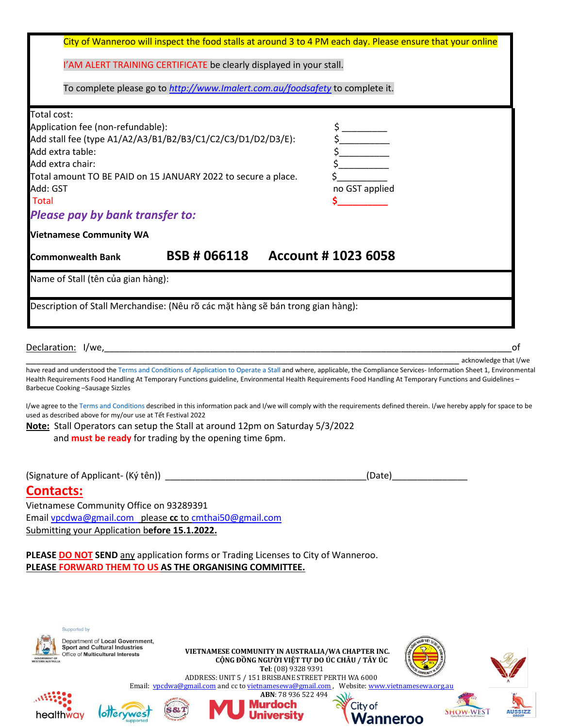|                                                                                                                                                                                                                                                                                                                                                                                                                                                                                                                                                                                                                                                                                                       | City of Wanneroo will inspect the food stalls at around 3 to 4 PM each day. Please ensure that your online                                                                                             |                                                                                           |                                 |                 |    |
|-------------------------------------------------------------------------------------------------------------------------------------------------------------------------------------------------------------------------------------------------------------------------------------------------------------------------------------------------------------------------------------------------------------------------------------------------------------------------------------------------------------------------------------------------------------------------------------------------------------------------------------------------------------------------------------------------------|--------------------------------------------------------------------------------------------------------------------------------------------------------------------------------------------------------|-------------------------------------------------------------------------------------------|---------------------------------|-----------------|----|
|                                                                                                                                                                                                                                                                                                                                                                                                                                                                                                                                                                                                                                                                                                       | I'AM ALERT TRAINING CERTIFICATE be clearly displayed in your stall.                                                                                                                                    |                                                                                           |                                 |                 |    |
|                                                                                                                                                                                                                                                                                                                                                                                                                                                                                                                                                                                                                                                                                                       | To complete please go to http://www.Imalert.com.au/foodsafety to complete it.                                                                                                                          |                                                                                           |                                 |                 |    |
| Total cost:<br>Application fee (non-refundable):<br>Add stall fee (type A1/A2/A3/B1/B2/B3/C1/C2/C3/D1/D2/D3/E):<br>Add extra table:<br>Add extra chair:<br>Total amount TO BE PAID on 15 JANUARY 2022 to secure a place.<br>Add: GST<br><b>Total</b><br><b>Please pay by bank transfer to:</b>                                                                                                                                                                                                                                                                                                                                                                                                        |                                                                                                                                                                                                        |                                                                                           | $\frac{1}{2}$<br>no GST applied |                 |    |
| <b>Vietnamese Community WA</b>                                                                                                                                                                                                                                                                                                                                                                                                                                                                                                                                                                                                                                                                        |                                                                                                                                                                                                        |                                                                                           |                                 |                 |    |
| <b>Commonwealth Bank</b>                                                                                                                                                                                                                                                                                                                                                                                                                                                                                                                                                                                                                                                                              | BSB # 066118                                                                                                                                                                                           | <b>Account #1023 6058</b>                                                                 |                                 |                 |    |
| Name of Stall (tên của gian hàng):                                                                                                                                                                                                                                                                                                                                                                                                                                                                                                                                                                                                                                                                    |                                                                                                                                                                                                        |                                                                                           |                                 |                 |    |
| Description of Stall Merchandise: (Nêu rõ các mặt hàng sẽ bán trong gian hàng):                                                                                                                                                                                                                                                                                                                                                                                                                                                                                                                                                                                                                       |                                                                                                                                                                                                        |                                                                                           |                                 |                 |    |
| Declaration: I/we,                                                                                                                                                                                                                                                                                                                                                                                                                                                                                                                                                                                                                                                                                    |                                                                                                                                                                                                        |                                                                                           |                                 |                 | οf |
| have read and understood the Terms and Conditions of Application to Operate a Stall and where, applicable, the Compliance Services- Information Sheet 1, Environmental<br>Health Requirements Food Handling At Temporary Functions guideline, Environmental Health Requirements Food Handling At Temporary Functions and Guidelines -<br>Barbecue Cooking -Sausage Sizzles<br>I/we agree to the Terms and Conditions described in this information pack and I/we will comply with the requirements defined therein. I/we hereby apply for space to be<br>used as described above for my/our use at Tết Festival 2022<br>Note: Stall Operators can setup the Stall at around 12pm on Saturday 5/3/2022 | and <b>must be ready</b> for trading by the opening time 6pm.                                                                                                                                          |                                                                                           |                                 |                 |    |
| (Signature of Applicant- (Ký tên))                                                                                                                                                                                                                                                                                                                                                                                                                                                                                                                                                                                                                                                                    |                                                                                                                                                                                                        |                                                                                           | (Date)                          |                 |    |
| <b>Contacts:</b><br>Vietnamese Community Office on 93289391<br>Email vpcdwa@gmail.com please cc to cmthai50@gmail.com<br>Submitting your Application before 15.1.2022.                                                                                                                                                                                                                                                                                                                                                                                                                                                                                                                                |                                                                                                                                                                                                        |                                                                                           |                                 |                 |    |
| PLEASE DO NOT SEND any application forms or Trading Licenses to City of Wanneroo.<br>PLEASE FORWARD THEM TO US AS THE ORGANISING COMMITTEE.                                                                                                                                                                                                                                                                                                                                                                                                                                                                                                                                                           |                                                                                                                                                                                                        |                                                                                           |                                 |                 |    |
| Supported by<br>Department of Local Government,<br><b>Sport and Cultural Industries</b><br>Office of Multicultural Interests                                                                                                                                                                                                                                                                                                                                                                                                                                                                                                                                                                          | VIETNAMESE COMMUNITY IN AUSTRALIA/WA CHAPTER INC.<br>ADDRESS: UNIT 5 / 151 BRISBANE STREET PERTH WA 6000<br>Email: ypcdwa@gmail.com and cc to yietnamesewa@gmail.com, Website: www.vietnamesewa.org.au | CỘNG ĐỒNG NGƯỜI VIỆT TỰ DO ÚC CHÂU / TÂY ÚC<br>Tel: (08) 9328 9391<br>ABN: 78 936 522 494 |                                 |                 |    |
| healthway                                                                                                                                                                                                                                                                                                                                                                                                                                                                                                                                                                                                                                                                                             |                                                                                                                                                                                                        | <b>Murdoch</b>                                                                            | City of<br><b>Nanneroo</b>      | <b>SHOW-WES</b> |    |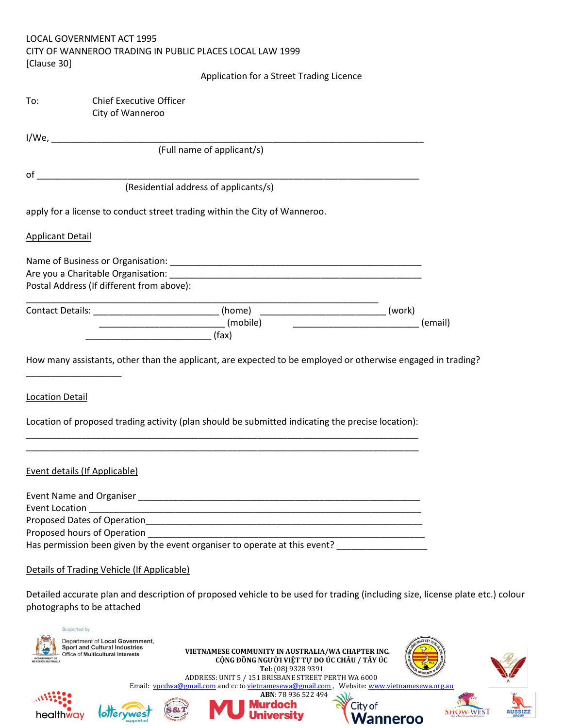| LOCAL GOVERNMENT ACT 1995                                |
|----------------------------------------------------------|
| CITY OF WANNEROO TRADING IN PUBLIC PLACES LOCAL LAW 1999 |
| [Clause 30]                                              |

#### Application for a Street Trading Licence

| To: | <b>Chief Executive Officer</b> |
|-----|--------------------------------|
|     | City of Wanneroo               |

I/We,

(Full name of applicant/s)

οf

(Residential address of applicants/s)

apply for a license to conduct street trading within the City of Wanneroo.

#### **Applicant Detail**

| Name of Business or Organisation:         |  |  |
|-------------------------------------------|--|--|
| Are you a Charitable Organisation:        |  |  |
| Postal Address (If different from above): |  |  |
|                                           |  |  |

| Contact Details: | [home    | work' |
|------------------|----------|-------|
|                  | (mobile) |       |
|                  | (fax)    |       |

How many assistants, other than the applicant, are expected to be employed or otherwise engaged in trading?

**Location Detail** 

Location of proposed trading activity (plan should be submitted indicating the precise location):

#### **Event details (If Applicable)**

| <b>Event Name and Organiser</b>                                            |  |
|----------------------------------------------------------------------------|--|
| Event Location                                                             |  |
| Proposed Dates of Operation                                                |  |
| Proposed hours of Operation                                                |  |
| Has permission been given by the event organiser to operate at this event? |  |

#### Details of Trading Vehicle (If Applicable)

Detailed accurate plan and description of proposed vehicle to be used for trading (including size, license plate etc.) colour photographs to be attached

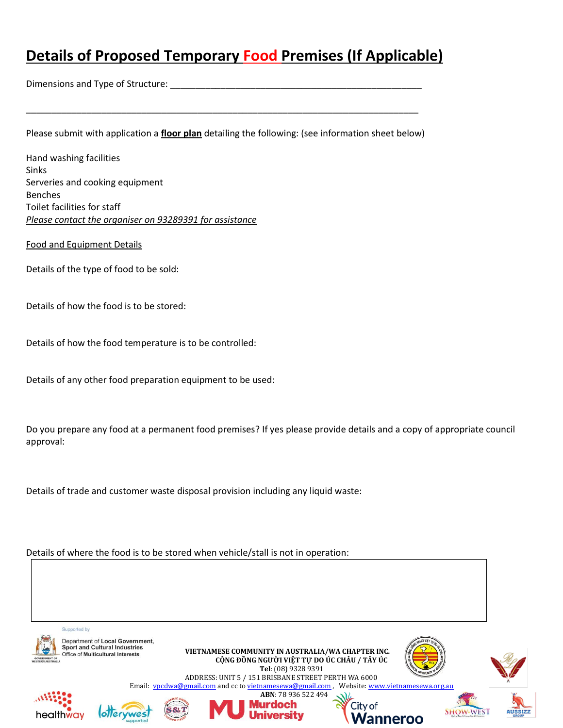# **Details of Proposed Temporary Food Premises (If Applicable)**

Dimensions and Type of Structure:

Please submit with application a floor plan detailing the following: (see information sheet below)

Hand washing facilities Sinks Serveries and cooking equipment **Benches** Toilet facilities for staff Please contact the organiser on 93289391 for assistance

**Food and Equipment Details** 

Details of the type of food to be sold:

Details of how the food is to be stored:

Details of how the food temperature is to be controlled:

Details of any other food preparation equipment to be used:

Do you prepare any food at a permanent food premises? If yes please provide details and a copy of appropriate council approval:

Details of trade and customer waste disposal provision including any liquid waste:

#### Details of where the food is to be stored when vehicle/stall is not in operation:

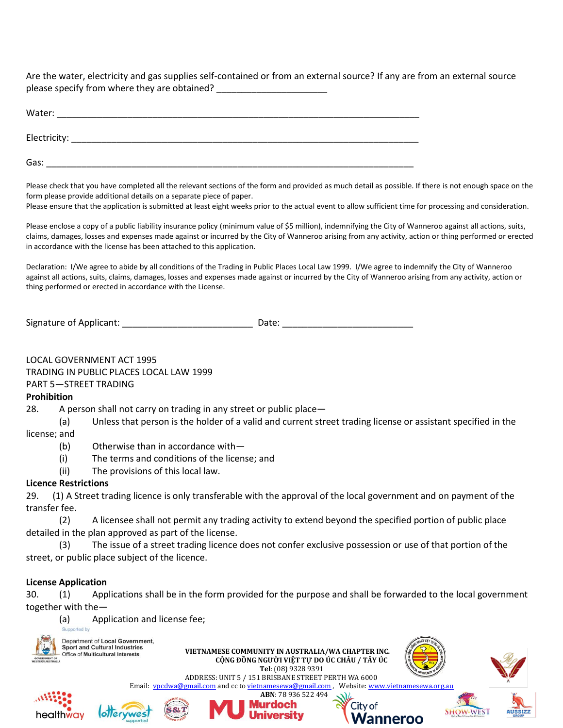Are the water, electricity and gas supplies self-contained or from an external source? If any are from an external source please specify from where they are obtained?

| Water:       |  |  |
|--------------|--|--|
| Electricity: |  |  |
| Gas:         |  |  |

Please check that you have completed all the relevant sections of the form and provided as much detail as possible. If there is not enough space on the form please provide additional details on a separate piece of paper.

Please ensure that the application is submitted at least eight weeks prior to the actual event to allow sufficient time for processing and consideration.

Please enclose a copy of a public liability insurance policy (minimum value of \$5 million), indemnifying the City of Wanneroo against all actions, suits, claims, damages, losses and expenses made against or incurred by the City of Wanneroo arising from any activity, action or thing performed or erected in accordance with the license has been attached to this application.

Declaration: I/We agree to abide by all conditions of the Trading in Public Places Local Law 1999. I/We agree to indemnify the City of Wanneroo against all actions, suits, claims, damages, losses and expenses made against or incurred by the City of Wanneroo arising from any activity, action or thing performed or erected in accordance with the License.

#### LOCAL GOVERNMENT ACT 1995

TRADING IN PUBLIC PLACES LOCAL LAW 1999

PART 5-STREET TRADING

#### **Prohibition**

28. A person shall not carry on trading in any street or public place-

Unless that person is the holder of a valid and current street trading license or assistant specified in the  $(a)$ 

license; and

- $(b)$ Otherwise than in accordance with-
- $(i)$ The terms and conditions of the license; and
- The provisions of this local law.  $(ii)$

#### **Licence Restrictions**

29. (1) A Street trading licence is only transferable with the approval of the local government and on payment of the transfer fee.

 $(2)$ A licensee shall not permit any trading activity to extend beyond the specified portion of public place detailed in the plan approved as part of the license.

The issue of a street trading licence does not confer exclusive possession or use of that portion of the  $(3)$ street, or public place subject of the licence.

#### **License Application**

30. Applications shall be in the form provided for the purpose and shall be forwarded to the local government  $(1)$ together with the-

 $(a)$ Application and license fee;

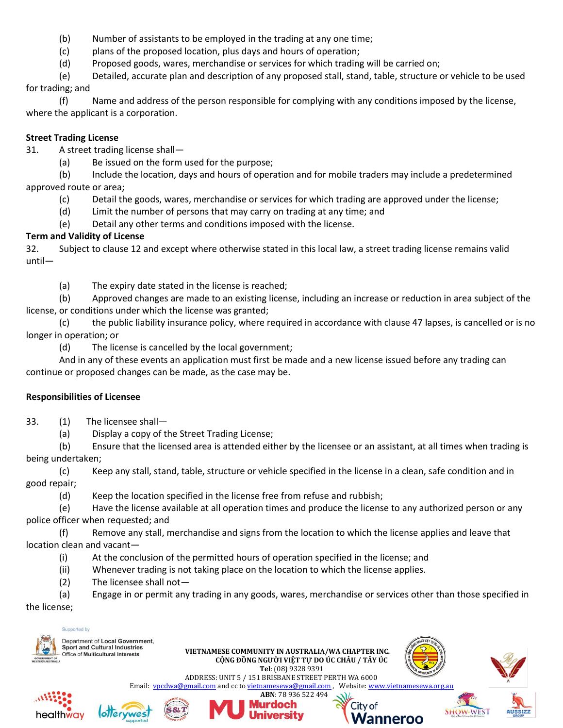- (b) Number of assistants to be employed in the trading at any one time;
- (c) plans of the proposed location, plus days and hours of operation;
- (d) Proposed goods, wares, merchandise or services for which trading will be carried on;

(e) Detailed, accurate plan and description of any proposed stall, stand, table, structure or vehicle to be used for trading; and

(f) Name and address of the person responsible for complying with any conditions imposed by the license, where the applicant is a corporation.

#### **Street Trading License**

31. A street trading license shall—

(a) Be issued on the form used for the purpose;

(b) Include the location, days and hours of operation and for mobile traders may include a predetermined approved route or area;

- (c) Detail the goods, wares, merchandise or services for which trading are approved under the license;
- (d) Limit the number of persons that may carry on trading at any time; and
- (e) Detail any other terms and conditions imposed with the license.

### **Term and Validity of License**

32. Subject to clause 12 and except where otherwise stated in this local law, a street trading license remains valid until—

(a) The expiry date stated in the license is reached;

(b) Approved changes are made to an existing license, including an increase or reduction in area subject of the license, or conditions under which the license was granted;

(c) the public liability insurance policy, where required in accordance with clause 47 lapses, is cancelled or is no longer in operation; or

(d) The license is cancelled by the local government;

And in any of these events an application must first be made and a new license issued before any trading can continue or proposed changes can be made, as the case may be.

#### **Responsibilities of Licensee**

- 33. (1) The licensee shall—
	- (a) Display a copy of the Street Trading License;

(b) Ensure that the licensed area is attended either by the licensee or an assistant, at all times when trading is being undertaken;

(c) Keep any stall, stand, table, structure or vehicle specified in the license in a clean, safe condition and in good repair;

(d) Keep the location specified in the license free from refuse and rubbish;

(e) Have the license available at all operation times and produce the license to any authorized person or any police officer when requested; and

(f) Remove any stall, merchandise and signs from the location to which the license applies and leave that location clean and vacant—

- (i) At the conclusion of the permitted hours of operation specified in the license; and
- (ii) Whenever trading is not taking place on the location to which the license applies.
- (2) The licensee shall not—

(a) Engage in or permit any trading in any goods, wares, merchandise or services other than those specified in the license;

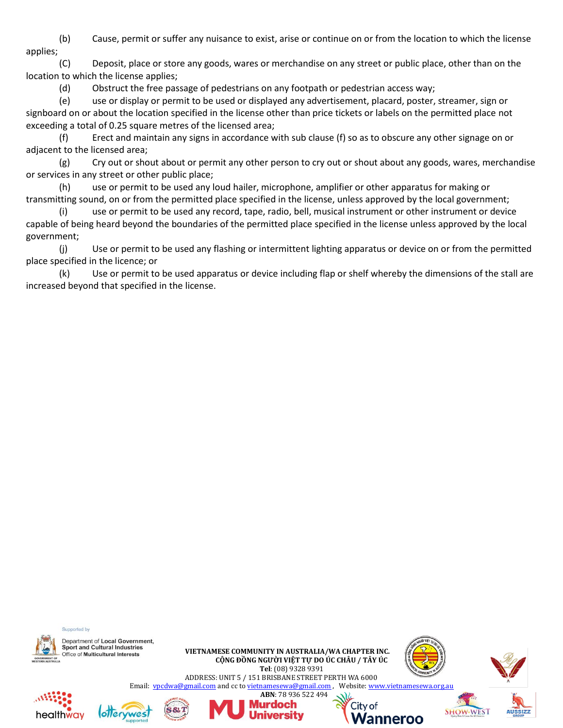(b) Cause, permit or suffer any nuisance to exist, arise or continue on or from the location to which the license applies;

(C) Deposit, place or store any goods, wares or merchandise on any street or public place, other than on the location to which the license applies;

(d) Obstruct the free passage of pedestrians on any footpath or pedestrian access way;

(e) use or display or permit to be used or displayed any advertisement, placard, poster, streamer, sign or signboard on or about the location specified in the license other than price tickets or labels on the permitted place not exceeding a total of 0.25 square metres of the licensed area;

(f) Erect and maintain any signs in accordance with sub clause (f) so as to obscure any other signage on or adjacent to the licensed area;

(g) Cry out or shout about or permit any other person to cry out or shout about any goods, wares, merchandise or services in any street or other public place;

(h) use or permit to be used any loud hailer, microphone, amplifier or other apparatus for making or transmitting sound, on or from the permitted place specified in the license, unless approved by the local government;

(i) use or permit to be used any record, tape, radio, bell, musical instrument or other instrument or device capable of being heard beyond the boundaries of the permitted place specified in the license unless approved by the local government;

(j) Use or permit to be used any flashing or intermittent lighting apparatus or device on or from the permitted place specified in the licence; or

(k) Use or permit to be used apparatus or device including flap or shelf whereby the dimensions of the stall are increased beyond that specified in the license.

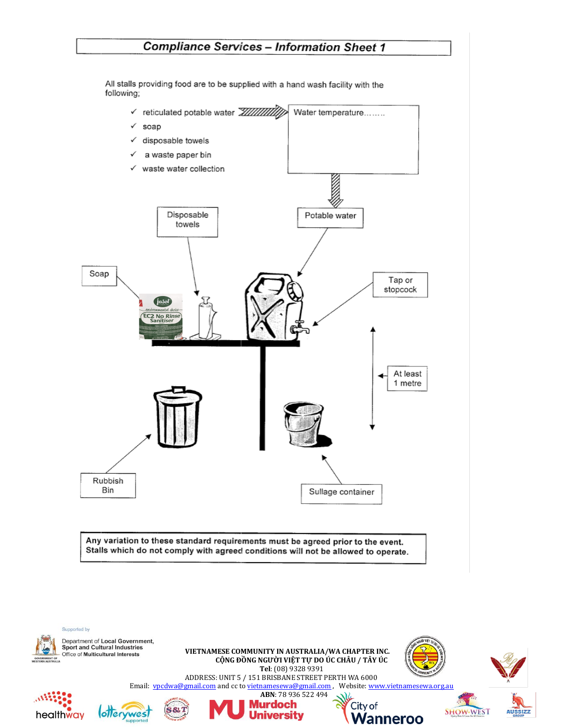## **Compliance Services - Information Sheet 1**

All stalls providing food are to be supplied with a hand wash facility with the following;



Any variation to these standard requirements must be agreed prior to the event. Stalls which do not comply with agreed conditions will not be allowed to operate.